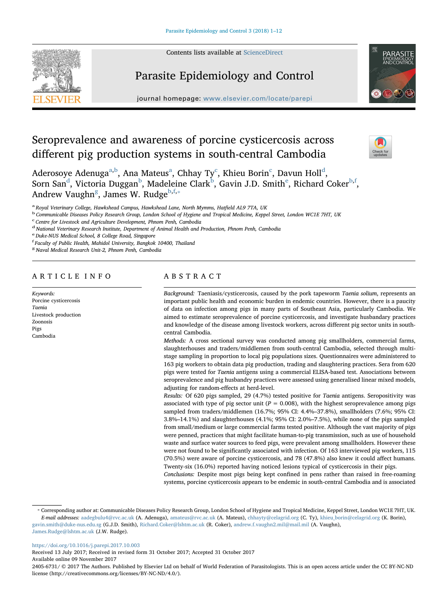Contents lists available at [ScienceDirect](http://www.sciencedirect.com/science/journal/24056731)



# Parasite Epidemiology and Control



journal homepage: [www.elsevier.com/locate/parepi](https://www.elsevier.com/locate/parepi)

# Seroprevalence and awareness of porcine cysticercosis across different pig production systems in south-central Cambodia



Aderosoye Adenuga<sup>[a,](#page-0-0)[b](#page-0-1)</sup>, An[a](#page-0-0) Mateus<sup>a</sup>, Chhay Ty<sup>[c](#page-0-2)</sup>, Khieu Borin<sup>c</sup>, Davun Holl<sup>[d](#page-0-3)</sup>, Sorn San<sup>[d](#page-0-3)</sup>, Victoria Duggan<sup>[b](#page-0-1)</sup>, Mad[e](#page-0-4)leine Clark<sup>b</sup>, Gavin J.D. Smith<sup>e</sup>, Richard Coker<sup>[b,](#page-0-1)[f](#page-0-5)</sup>, Andrew Vau[g](#page-0-6)hn<sup>g</sup>, James W. Rudge<sup>[b](#page-0-1),[f](#page-0-5),\*</sup>

<span id="page-0-1"></span>

<span id="page-0-0"></span><sup>a</sup> Royal Veterinary College, Hawkshead Campus, Hawkshead Lane, North Mymms, Hatfield AL9 7TA, UK<br><sup>b</sup> Communicable Diseases Policy Research Group, London School of Hygiene and Tropical Medicine, Keppel Street, London WC1E

<span id="page-0-2"></span>c Centre for Livestock and Agriculture Development, Phnom Penh, Cambodia

<span id="page-0-3"></span><sup>d</sup> National Veterinary Research Institute, Department of Animal Health and Production, Phnom Penh, Cambodia

<span id="page-0-4"></span>e Duke-NUS Medical School, 8 College Road, Singapore

<span id="page-0-5"></span>f Faculty of Public Health, Mahidol University, Bangkok 10400, Thailand

<span id="page-0-6"></span><sup>8</sup> Naval Medical Research Unit-2, Phnom Penh, Cambodia

# ARTICLE INFO

Keywords: Porcine cysticercosis Taenia Livestock production Zoonosis Pigs Cambodia

# ABSTRACT

Background: Taeniasis/cysticercosis, caused by the pork tapeworm Taenia solium, represents an important public health and economic burden in endemic countries. However, there is a paucity of data on infection among pigs in many parts of Southeast Asia, particularly Cambodia. We aimed to estimate seroprevalence of porcine cysticercosis, and investigate husbandary practices and knowledge of the disease among livestock workers, across different pig sector units in southcentral Cambodia.

Methods: A cross sectional survey was conducted among pig smallholders, commercial farms, slaughterhouses and traders/middlemen from south-central Cambodia, selected through multistage sampling in proportion to local pig populations sizes. Questionnaires were administered to 163 pig workers to obtain data pig production, trading and slaughtering practices. Sera from 620 pigs were tested for Taenia antigens using a commercial ELISA-based test. Associations between seroprevalence and pig husbandry practices were assessed using generalised linear mixed models, adjusting for random-effects at herd-level.

Results: Of 620 pigs sampled, 29 (4.7%) tested positive for Taenia antigens. Seropositivity was associated with type of pig sector unit ( $P = 0.008$ ), with the highest seroprevalence among pigs sampled from traders/middlemen (16.7%; 95% CI: 4.4%–37.8%), smallholders (7.6%; 95% CI: 3.8%–14.1%) and slaughterhouses (4.1%; 95% CI: 2.0%–7.5%), while none of the pigs sampled from small/medium or large commercial farms tested positive. Although the vast majority of pigs were penned, practices that might facilitate human-to-pig transmission, such as use of household waste and surface water sources to feed pigs, were prevalent among smallholders. However these were not found to be significantly associated with infection. Of 163 interviewed pig workers, 115 (70.5%) were aware of porcine cysticercosis, and 78 (47.8%) also knew it could affect humans. Twenty-six (16.0%) reported having noticed lesions typical of cysticercosis in their pigs. Conclusions: Despite most pigs being kept confined in pens rather than raised in free-roaming

systems, porcine cysticercosis appears to be endemic in south-central Cambodia and is associated

[gavin.smith@duke-nus.edu.sg](mailto:gavin.smith@duke-nus.edu.sg) (G.J.D. Smith), [Richard.Coker@lshtm.ac.uk](mailto:Richard.Coker@lshtm.ac.uk) (R. Coker), [andrew.f.vaughn2.mil@mail.mil](mailto:andrew.f.vaughn2.mil@mail.mil) (A. Vaughn), [James.Rudge@lshtm.ac.uk](mailto:James.Rudge@lshtm.ac.uk) (J.W. Rudge).

#### <https://doi.org/10.1016/j.parepi.2017.10.003>

Received 13 July 2017; Received in revised form 31 October 2017; Accepted 31 October 2017 Available online 09 November 2017

<span id="page-0-7"></span><sup>⁎</sup> Corresponding author at: Communicable Diseases Policy Research Group, London School of Hygiene and Tropical Medicine, Keppel Street, London WC1E 7HT, UK. E-mail addresses: [aadegbulu4@rvc.ac.uk](mailto:aadegbulu4@rvc.ac.uk) (A. Adenuga), [amateus@rvc.ac.uk](mailto:amateus@rvc.ac.uk) (A. Mateus), [chhayty@celagrid.org](mailto:chhayty@celagrid.org) (C. Ty), [khieu\\_borin@celagrid.org](mailto:khieu_borin@celagrid.org) (K. Borin),

<sup>2405-6731/ © 2017</sup> The Authors. Published by Elsevier Ltd on behalf of World Federation of Parasitologists. This is an open access article under the CC BY-NC-ND license (http://creativecommons.org/licenses/BY-NC-ND/4.0/).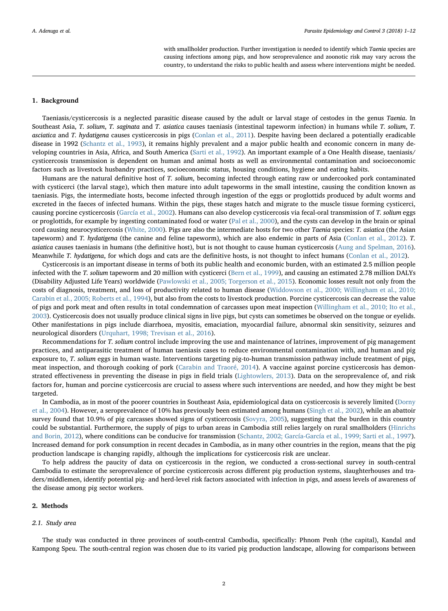with smallholder production. Further investigation is needed to identify which Taenia species are causing infections among pigs, and how seroprevalence and zoonotic risk may vary across the country, to understand the risks to public health and assess where interventions might be needed.

## 1. Background

Taeniasis/cysticercosis is a neglected parasitic disease caused by the adult or larval stage of cestodes in the genus Taenia. In Southeast Asia, T. solium, T. saginata and T. asiatica causes taeniasis (intestinal tapeworm infection) in humans while T. solium, T. asciatica and T. hydatigena causes cysticercosis in pigs ([Conlan et al., 2011](#page-10-0)). Despite having been declared a potentially eradicable disease in 1992 ([Schantz et al., 1993\)](#page-10-1), it remains highly prevalent and a major public health and economic concern in many developing countries in Asia, Africa, and South America [\(Sarti et al., 1992](#page-10-2)). An important example of a One Health disease, taeniasis/ cysticercosis transmission is dependent on human and animal hosts as well as environmental contamination and socioeconomic factors such as livestock husbandry practices, socioeconomic status, housing conditions, hygiene and eating habits.

Humans are the natural definitive host of T. solium, becoming infected through eating raw or undercooked pork contaminated with cysticerci (the larval stage), which then mature into adult tapeworms in the small intestine, causing the condition known as taeniasis. Pigs, the intermediate hosts, become infected through ingestion of the eggs or proglottids produced by adult worms and excreted in the faeces of infected humans. Within the pigs, these stages hatch and migrate to the muscle tissue forming cysticerci, causing porcine cysticercosis [\(García et al., 2002\)](#page-10-3). Humans can also develop cysticercosis via fecal-oral transmission of T. solium eggs or proglottids, for example by ingesting contaminated food or water [\(Pal et al., 2000\)](#page-10-4), and the cysts can develop in the brain or spinal cord causing neurocysticercosis ([White, 2000\)](#page-11-0). Pigs are also the intermediate hosts for two other Taenia species: T. asiatica (the Asian tapeworm) and T. hydatigena (the canine and feline tapeworm), which are also endemic in parts of Asia ([Conlan et al., 2012](#page-10-5)). T. asiatica causes taeniasis in humans (the definitive host), but is not thought to cause human cysticercosis ([Aung and Spelman, 2016](#page-10-6)). Meanwhile T. hydatigena, for which dogs and cats are the definitive hosts, is not thought to infect humans [\(Conlan et al., 2012](#page-10-5)).

Cysticercosis is an important disease in terms of both its public health and economic burden, with an estimated 2.5 million people infected with the T. solium tapeworm and 20 million with cysticerci ([Bern et al., 1999\)](#page-10-7), and causing an estimated 2.78 million DALYs (Disability Adjusted Life Years) worldwide ([Pawlowski et al., 2005; Torgerson et al., 2015](#page-10-8)). Economic losses result not only from the costs of diagnosis, treatment, and loss of productivity related to human disease [\(Widdowson et al., 2000; Willingham et al., 2010;](#page-11-1) [Carabin et al., 2005; Roberts et al., 1994](#page-11-1)), but also from the costs to livestock production. Porcine cysticercosis can decrease the value of pigs and pork meat and often results in total condemnation of carcasses upon meat inspection [\(Willingham et al., 2010; Ito et al.,](#page-11-2) [2003\)](#page-11-2). Cysticercosis does not usually produce clinical signs in live pigs, but cysts can sometimes be observed on the tongue or eyelids. Other manifestations in pigs include diarrhoea, myositis, emaciation, myocardial failure, abnormal skin sensitivity, seizures and neurological disorders [\(Urquhart, 1998; Trevisan et al., 2016\)](#page-11-3).

Recommendations for T. solium control include improving the use and maintenance of latrines, improvement of pig management practices, and antiparasitic treatment of human taeniasis cases to reduce environmental contamination with, and human and pig exposure to, T. solium eggs in human waste. Interventions targeting pig-to-human transmission pathway include treatment of pigs, meat inspection, and thorough cooking of pork ([Carabin and Traoré, 2014](#page-10-9)). A vaccine against porcine cysticercosis has demonstrated effectiveness in preventing the disease in pigs in field trials ([Lightowlers, 2013\)](#page-10-10). Data on the seroprevalence of, and risk factors for, human and porcine cysticercosis are crucial to assess where such interventions are needed, and how they might be best targeted.

In Cambodia, as in most of the poorer countries in Southeast Asia, epidemiological data on cysticercosis is severely limited [\(Dorny](#page-10-11) [et al., 2004\)](#page-10-11). However, a seroprevalence of 10% has previously been estimated among humans [\(Singh et al., 2002\)](#page-10-12), while an abattoir survey found that 10.9% of pig carcasses showed signs of cysticercosis ([Sovyra, 2005\)](#page-11-4), suggesting that the burden in this country could be substantial. Furthermore, the supply of pigs to urban areas in Cambodia still relies largely on rural smallholders [\(Hinrichs](#page-10-13) [and Borin, 2012\)](#page-10-13), where conditions can be conducive for transmission ([Schantz, 2002; García-García et al., 1999; Sarti et al., 1997](#page-10-14)). Increased demand for pork consumption in recent decades in Cambodia, as in many other countries in the region, means that the pig production landscape is changing rapidly, although the implications for cysticercosis risk are unclear.

To help address the paucity of data on cysticercosis in the region, we conducted a cross-sectional survey in south-central Cambodia to estimate the seroprevalence of porcine cysticercosis across different pig production systems, slaughterhouses and traders/middlemen, identify potential pig- and herd-level risk factors associated with infection in pigs, and assess levels of awareness of the disease among pig sector workers.

# <span id="page-1-0"></span>2. Methods

#### 2.1. Study area

The study was conducted in three provinces of south-central Cambodia, specifically: Phnom Penh (the capital), Kandal and Kampong Speu. The south-central region was chosen due to its varied pig production landscape, allowing for comparisons between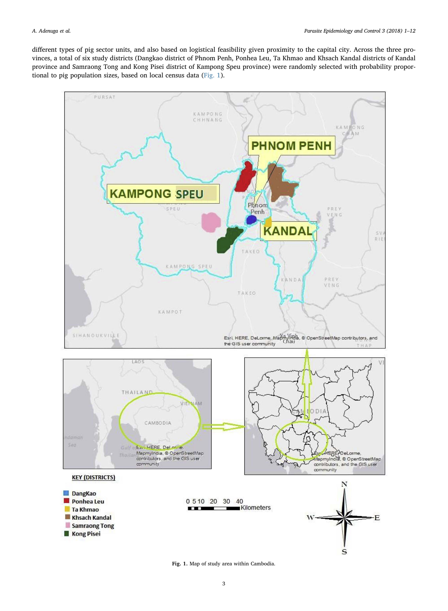different types of pig sector units, and also based on logistical feasibility given proximity to the capital city. Across the three provinces, a total of six study districts (Dangkao district of Phnom Penh, Ponhea Leu, Ta Khmao and Khsach Kandal districts of Kandal province and Samraong Tong and Kong Pisei district of Kampong Speu province) were randomly selected with probability proportional to pig population sizes, based on local census data ([Fig. 1](#page-2-0)).

<span id="page-2-0"></span>

Fig. 1. Map of study area within Cambodia.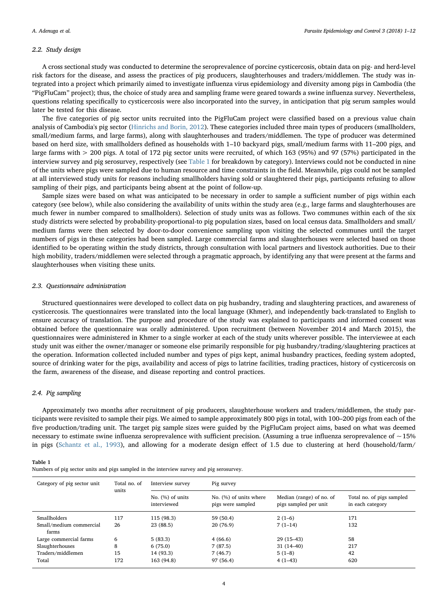# 2.2. Study design

A cross sectional study was conducted to determine the seroprevalence of porcine cysticercosis, obtain data on pig- and herd-level risk factors for the disease, and assess the practices of pig producers, slaughterhouses and traders/middlemen. The study was integrated into a project which primarily aimed to investigate influenza virus epidemiology and diversity among pigs in Cambodia (the "PigFluCam" project); thus, the choice of study area and sampling frame were geared towards a swine influenza survey. Nevertheless, questions relating specifically to cysticercosis were also incorporated into the survey, in anticipation that pig serum samples would later be tested for this disease.

The five categories of pig sector units recruited into the PigFluCam project were classified based on a previous value chain analysis of Cambodia's pig sector ([Hinrichs and Borin, 2012](#page-10-13)). These categories included three main types of producers (smallholders, small/medium farms, and large farms), along with slaughterhouses and traders/middlemen. The type of producer was determined based on herd size, with smallholders defined as households with 1–10 backyard pigs, small/medium farms with 11–200 pigs, and large farms with > 200 pigs. A total of 172 pig sector units were recruited, of which 163 (95%) and 97 (57%) participated in the interview survey and pig serosurvey, respectively (see [Table 1](#page-3-0) for breakdown by category). Interviews could not be conducted in nine of the units where pigs were sampled due to human resource and time constraints in the field. Meanwhile, pigs could not be sampled at all interviewed study units for reasons including smallholders having sold or slaughtered their pigs, participants refusing to allow sampling of their pigs, and participants being absent at the point of follow-up.

Sample sizes were based on what was anticipated to be necessary in order to sample a sufficient number of pigs within each category (see below), while also considering the availability of units within the study area (e.g., large farms and slaughterhouses are much fewer in number compared to smallholders). Selection of study units was as follows. Two communes within each of the six study districts were selected by probability-proportional-to pig population sizes, based on local census data. Smallholders and small/ medium farms were then selected by door-to-door convenience sampling upon visiting the selected communes until the target numbers of pigs in these categories had been sampled. Large commercial farms and slaughterhouses were selected based on those identified to be operating within the study districts, through consultation with local partners and livestock authorities. Due to their high mobility, traders/middlemen were selected through a pragmatic approach, by identifying any that were present at the farms and slaughterhouses when visiting these units.

#### 2.3. Questionnaire administration

Structured questionnaires were developed to collect data on pig husbandry, trading and slaughtering practices, and awareness of cysticercosis. The questionnaires were translated into the local language (Khmer), and independently back-translated to English to ensure accuracy of translation. The purpose and procedure of the study was explained to participants and informed consent was obtained before the questionnaire was orally administered. Upon recruitment (between November 2014 and March 2015), the questionnaires were administered in Khmer to a single worker at each of the study units wherever possible. The interviewee at each study unit was either the owner/manager or someone else primarily responsible for pig husbandry/trading/slaughtering practices at the operation. Information collected included number and types of pigs kept, animal husbandry practices, feeding system adopted, source of drinking water for the pigs, availability and access of pigs to latrine facilities, trading practices, history of cysticercosis on the farm, awareness of the disease, and disease reporting and control practices.

# 2.4. Pig sampling

Approximately two months after recruitment of pig producers, slaughterhouse workers and traders/middlemen, the study participants were revisited to sample their pigs. We aimed to sample approximately 800 pigs in total, with 100–200 pigs from each of the five production/trading unit. The target pig sample sizes were guided by the PigFluCam project aims, based on what was deemed necessary to estimate swine influenza seroprevalence with sufficient precision. (Assuming a true influenza seroprevalence of  $\sim$  15% in pigs [\(Schantz et al., 1993](#page-10-1)), and allowing for a moderate design effect of 1.5 due to clustering at herd (household/farm/

### <span id="page-3-0"></span>Table 1

Numbers of pig sector units and pigs sampled in the interview survey and pig serosurvey.

| Category of pig sector unit | Total no. of<br>units | Interview survey<br>Pig survey     |                                                |                                                   |                                               |  |  |
|-----------------------------|-----------------------|------------------------------------|------------------------------------------------|---------------------------------------------------|-----------------------------------------------|--|--|
|                             |                       | No. $(\%)$ of units<br>interviewed | No. $(\%)$ of units where<br>pigs were sampled | Median (range) of no. of<br>pigs sampled per unit | Total no. of pigs sampled<br>in each category |  |  |
| <b>Smallholders</b>         | 117                   | 115 (98.3)                         | 59 (50.4)                                      | $2(1-6)$                                          | 171                                           |  |  |
| Small/medium commercial     | 26                    | 23(88.5)                           | 20 (76.9)                                      | $7(1-14)$                                         | 132                                           |  |  |
| farms                       |                       |                                    |                                                |                                                   |                                               |  |  |
| Large commercial farms      | 6                     | 5(83.3)                            | 4(66.6)                                        | $29(15-43)$                                       | 58                                            |  |  |
| Slaughterhouses             | 8                     | 6(75.0)                            | 7(87.5)                                        | $31(14-40)$                                       | 217                                           |  |  |
| Traders/middlemen           | 15                    | 14 (93.3)                          | 7(46.7)                                        | $5(1-8)$                                          | 42                                            |  |  |
| Total                       | 172                   | 163 (94.8)                         | 97 (56.4)                                      | $4(1-43)$                                         | 620                                           |  |  |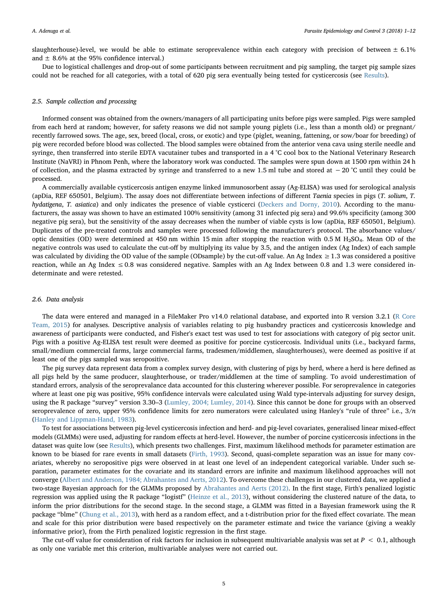slaughterhouse)-level, we would be able to estimate seroprevalence within each category with precision of between  $\pm$  6.1% and  $\pm$  8.6% at the 95% confidence interval.)

Due to logistical challenges and drop-out of some participants between recruitment and pig sampling, the target pig sample sizes could not be reached for all categories, with a total of 620 pig sera eventually being tested for cysticercosis (see [Results\)](#page-5-0).

### 2.5. Sample collection and processing

Informed consent was obtained from the owners/managers of all participating units before pigs were sampled. Pigs were sampled from each herd at random; however, for safety reasons we did not sample young piglets (i.e., less than a month old) or pregnant/ recently farrowed sows. The age, sex, breed (local, cross, or exotic) and type (piglet, weaning, fattening, or sow/boar for breeding) of pig were recorded before blood was collected. The blood samples were obtained from the anterior vena cava using sterile needle and syringe, then transferred into sterile EDTA vacutainer tubes and transported in a 4 °C cool box to the National Veterinary Research Institute (NaVRI) in Phnom Penh, where the laboratory work was conducted. The samples were spun down at 1500 rpm within 24 h of collection, and the plasma extracted by syringe and transferred to a new 1.5 ml tube and stored at −20 °C until they could be processed.

A commercially available cysticercosis antigen enzyme linked immunosorbent assay (Ag-ELISA) was used for serological analysis (apDia, REF 650501, Belgium). The assay does not differentiate between infections of different Taenia species in pigs (T. solium, T. hydatigena, T. asiatica) and only indicates the presence of viable cysticerci ([Deckers and Dorny, 2010\)](#page-10-15). According to the manufacturers, the assay was shown to have an estimated 100% sensitivity (among 31 infected pig sera) and 99.6% specificity (among 300 negative pig sera), but the sensitivity of the assay decreases when the number of viable cysts is low (apDia, REF 650501, Belgium). Duplicates of the pre-treated controls and samples were processed following the manufacturer's protocol. The absorbance values/ optic densities (OD) were determined at 450 nm within 15 min after stopping the reaction with  $0.5$  M  $H<sub>2</sub>SO<sub>4</sub>$ . Mean OD of the negative controls was used to calculate the cut-off by multiplying its value by 3.5, and the antigen index (Ag Index) of each sample was calculated by dividing the OD value of the sample (ODsample) by the cut-off value. An Ag Index  $\geq 1.3$  was considered a positive reaction, while an Ag Index  $\leq 0.8$  was considered negative. Samples with an Ag Index between 0.8 and 1.3 were considered indeterminate and were retested.

# 2.6. Data analysis

The data were entered and managed in a FileMaker Pro v14.0 relational database, and exported into R version 3.2.1 ([R Core](#page-10-16) [Team, 2015](#page-10-16)) for analyses. Descriptive analysis of variables relating to pig husbandry practices and cysticercosis knowledge and awareness of participants were conducted, and Fisher's exact test was used to test for associations with category of pig sector unit. Pigs with a positive Ag-ELISA test result were deemed as positive for porcine cysticercosis. Individual units (i.e., backyard farms, small/medium commercial farms, large commercial farms, tradesmen/middlemen, slaughterhouses), were deemed as positive if at least one of the pigs sampled was seropositive.

The pig survey data represent data from a complex survey design, with clustering of pigs by herd, where a herd is here defined as all pigs held by the same producer, slaughterhouse, or trader/middlemen at the time of sampling. To avoid underestimation of standard errors, analysis of the seroprevalance data accounted for this clustering wherever possible. For seroprevalence in categories where at least one pig was positive, 95% confidence intervals were calculated using Wald type-intervals adjusting for survey design, using the R package "survey" version 3.30–3 ([Lumley, 2004; Lumley, 2014\)](#page-10-17). Since this cannot be done for groups with an observed seroprevalence of zero, upper 95% confidence limits for zero numerators were calculated using Hanley's "rule of three" i.e.,  $3/n$ ([Hanley and Lippman-Hand, 1983\)](#page-10-18).

<span id="page-4-0"></span>To test for associations between pig-level cysticercosis infection and herd- and pig-level covariates, generalised linear mixed-effect models (GLMMs) were used, adjusting for random effects at herd-level. However, the number of porcine cysticercosis infections in the dataset was quite low (see [Results](#page-5-0)), which presents two challenges. First, maximum likelihood methods for parameter estimation are known to be biased for rare events in small datasets ([Firth, 1993](#page-10-19)). Second, quasi-complete separation was an issue for many covariates, whereby no seropositive pigs were observed in at least one level of an independent categorical variable. Under such separation, parameter estimates for the covariate and its standard errors are infinite and maximum likelihood approaches will not converge ([Albert and Anderson, 1984; Abrahantes and Aerts, 2012\)](#page-10-20). To overcome these challenges in our clustered data, we applied a two-stage Bayesian approach for the GLMMs proposed by [Abrahantes and Aerts \(2012\).](#page-10-21) In the first stage, Firth's penalized logistic regression was applied using the R package "logistf" [\(Heinze et al., 2013](#page-10-22)), without considering the clustered nature of the data, to inform the prior distributions for the second stage. In the second stage, a GLMM was fitted in a Bayesian framework using the R package "blme" ([Chung et al., 2013](#page-10-23)), with herd as a random effect, and a t-distribution prior for the fixed effect covariate. The mean and scale for this prior distribution were based respectively on the parameter estimate and twice the variance (giving a weakly informative prior), from the Firth penalized logistic regression in the first stage.

The cut-off value for consideration of risk factors for inclusion in subsequent multivariable analysis was set at  $P < 0.1$ , although as only one variable met this criterion, multivariable analyses were not carried out.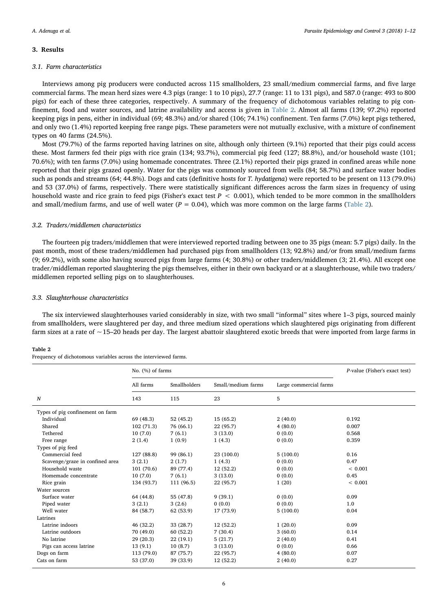# <span id="page-5-0"></span>3. Results

## 3.1. Farm characteristics

Interviews among pig producers were conducted across 115 smallholders, 23 small/medium commercial farms, and five large commercial farms. The mean herd sizes were 4.3 pigs (range: 1 to 10 pigs), 27.7 (range: 11 to 131 pigs), and 587.0 (range: 493 to 800 pigs) for each of these three categories, respectively. A summary of the frequency of dichotomous variables relating to pig confinement, food and water sources, and latrine availability and access is given in [Table 2.](#page-5-1) Almost all farms (139; 97.2%) reported keeping pigs in pens, either in individual (69; 48.3%) and/or shared (106; 74.1%) confinement. Ten farms (7.0%) kept pigs tethered, and only two (1.4%) reported keeping free range pigs. These parameters were not mutually exclusive, with a mixture of confinement types on 40 farms (24.5%).

Most (79.7%) of the farms reported having latrines on site, although only thirteen (9.1%) reported that their pigs could access these. Most farmers fed their pigs with rice grain (134; 93.7%), commercial pig feed (127; 88.8%), and/or household waste (101; 70.6%); with ten farms (7.0%) using homemade concentrates. Three (2.1%) reported their pigs grazed in confined areas while none reported that their pigs grazed openly. Water for the pigs was commonly sourced from wells (84; 58.7%) and surface water bodies such as ponds and streams (64; 44.8%). Dogs and cats (definitive hosts for T. hydatigena) were reported to be present on 113 (79.0%) and 53 (37.0%) of farms, respectively. There were statistically significant differences across the farm sizes in frequency of using household waste and rice grain to feed pigs (Fisher's exact test  $P < 0.001$ ), which tended to be more common in the smallholders and small/medium farms, and use of well water ( $P = 0.04$ ), which was more common on the large farms ([Table 2](#page-5-1)).

## 3.2. Traders/middlemen characteristics

The fourteen pig traders/middlemen that were interviewed reported trading between one to 35 pigs (mean: 5.7 pigs) daily. In the past month, most of these traders/middlemen had purchased pigs from smallholders (13; 92.8%) and/or from small/medium farms (9; 69.2%), with some also having sourced pigs from large farms (4; 30.8%) or other traders/middlemen (3; 21.4%). All except one trader/middleman reported slaughtering the pigs themselves, either in their own backyard or at a slaughterhouse, while two traders/ middlemen reported selling pigs on to slaughterhouses.

#### 3.3. Slaughterhouse characteristics

The six interviewed slaughterhouses varied considerably in size, with two small "informal" sites where 1–3 pigs, sourced mainly from smallholders, were slaughtered per day, and three medium sized operations which slaughtered pigs originating from different farm sizes at a rate of  $\sim$  15–20 heads per day. The largest abattoir slaughtered exotic breeds that were imported from large farms in

#### <span id="page-5-1"></span>Table 2

Frequency of dichotomous variables across the interviewed farms.

|                                  | No. (%) of farms | P-value (Fisher's exact test) |                    |                        |             |
|----------------------------------|------------------|-------------------------------|--------------------|------------------------|-------------|
|                                  | All farms        | Smallholders                  | Small/medium farms | Large commercial farms |             |
| $\boldsymbol{N}$                 | 143              | 115                           | 23                 | 5                      |             |
| Types of pig confinement on farm |                  |                               |                    |                        |             |
| Individual                       | 69 (48.3)        | 52(45.2)                      | 15(65.2)           | 2(40.0)                | 0.192       |
| Shared                           | 102(71.3)        | 76 (66.1)                     | 22 (95.7)          | 4(80.0)                | 0.007       |
| Tethered                         | 10(7.0)          | 7(6.1)                        | 3(13.0)            | 0(0.0)                 | 0.568       |
| Free range                       | 2(1.4)           | 1(0.9)                        | 1(4.3)             | 0(0.0)                 | 0.359       |
| Types of pig feed                |                  |                               |                    |                        |             |
| Commercial feed                  | 127 (88.8)       | 99 (86.1)                     | 23 (100.0)         | 5(100.0)               | 0.16        |
| Scavenge/graze in confined area  | 3(2.1)           | 2(1.7)                        | 1(4.3)             | 0(0.0)                 | 0.47        |
| Household waste                  | 101 (70.6)       | 89 (77.4)                     | 12(52.2)           | 0(0.0)                 | ${}< 0.001$ |
| Homemade concentrate             | 10(7.0)          | 7(6.1)                        | 3(13.0)            | 0(0.0)                 | 0.45        |
| Rice grain                       | 134 (93.7)       | 111 (96.5)                    | 22 (95.7)          | 1(20)                  | ${}< 0.001$ |
| Water sources                    |                  |                               |                    |                        |             |
| Surface water                    | 64 (44.8)        | 55 (47.8)                     | 9(39.1)            | 0(0.0)                 | 0.09        |
| Piped water                      | 3(2.1)           | 3(2.6)                        | 0(0.0)             | 0(0.0)                 | 1.0         |
| Well water                       | 84 (58.7)        | 62 (53.9)                     | 17 (73.9)          | 5(100.0)               | 0.04        |
| Latrines                         |                  |                               |                    |                        |             |
| Latrine indoors                  | 46(32.2)         | 33 (28.7)                     | 12(52.2)           | 1(20.0)                | 0.09        |
| Latrine outdoors                 | 70 (49.0)        | 60(52.2)                      | 7(30.4)            | 3(60.0)                | 0.14        |
| No latrine                       | 29(20.3)         | 22(19.1)                      | 5(21.7)            | 2(40.0)                | 0.41        |
| Pigs can access latrine          | 13(9.1)          | 10(8.7)                       | 3(13.0)            | 0(0.0)                 | 0.66        |
| Dogs on farm                     | 113 (79.0)       | 87 (75.7)                     | 22 (95.7)          | 4(80.0)                | 0.07        |
| Cats on farm                     | 53 (37.0)        | 39 (33.9)                     | 12(52.2)           | 2(40.0)                | 0.27        |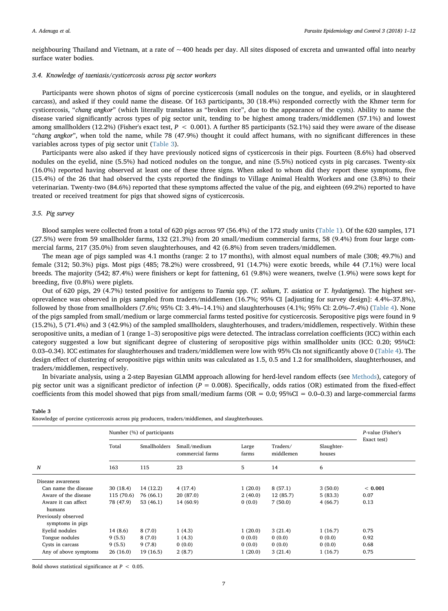neighbouring Thailand and Vietnam, at a rate of  $\sim$  400 heads per day. All sites disposed of excreta and unwanted offal into nearby surface water bodies.

## 3.4. Knowledge of taeniasis/cysticercosis across pig sector workers

Participants were shown photos of signs of porcine cysticercosis (small nodules on the tongue, and eyelids, or in slaughtered carcass), and asked if they could name the disease. Of 163 participants, 30 (18.4%) responded correctly with the Khmer term for cysticercosis, "chang angkor" (which literally translates as "broken rice", due to the appearance of the cysts). Ability to name the disease varied significantly across types of pig sector unit, tending to be highest among traders/middlemen (57.1%) and lowest among smallholders (12.2%) (Fisher's exact test,  $P < 0.001$ ). A further 85 participants (52.1%) said they were aware of the disease "chang angkor", when told the name, while 78 (47.9%) thought it could affect humans, with no significant differences in these variables across types of pig sector unit [\(Table 3](#page-6-0)).

Participants were also asked if they have previously noticed signs of cysticercosis in their pigs. Fourteen (8.6%) had observed nodules on the eyelid, nine (5.5%) had noticed nodules on the tongue, and nine (5.5%) noticed cysts in pig carcases. Twenty-six (16.0%) reported having observed at least one of these three signs. When asked to whom did they report these symptoms, five (15.4%) of the 26 that had observed the cysts reported the findings to Village Animal Health Workers and one (3.8%) to their veterinarian. Twenty-two (84.6%) reported that these symptoms affected the value of the pig, and eighteen (69.2%) reported to have treated or received treatment for pigs that showed signs of cysticercosis.

## 3.5. Pig survey

Blood samples were collected from a total of 620 pigs across 97 (56.4%) of the 172 study units [\(Table 1](#page-3-0)). Of the 620 samples, 171 (27.5%) were from 59 smallholder farms, 132 (21.3%) from 20 small/medium commercial farms, 58 (9.4%) from four large commercial farms, 217 (35.0%) from seven slaughterhouses, and 42 (6.8%) from seven traders/middlemen.

The mean age of pigs sampled was 4.1 months (range: 2 to 17 months), with almost equal numbers of male (308; 49.7%) and female (312; 50.3%) pigs. Most pigs (485; 78.2%) were crossbreed, 91 (14.7%) were exotic breeds, while 44 (7.1%) were local breeds. The majority (542; 87.4%) were finishers or kept for fattening, 61 (9.8%) were weaners, twelve (1.9%) were sows kept for breeding, five (0.8%) were piglets.

<span id="page-6-1"></span>Out of 620 pigs, 29 (4.7%) tested positive for antigens to Taenia spp. (T. solium, T. asiatica or T. hydatigena). The highest seroprevalence was observed in pigs sampled from traders/middlemen (16.7%; 95% CI [adjusting for survey design]: 4.4%–37.8%), followed by those from smallholders (7.6%; 95% CI: 3.4%–14.1%) and slaughterhouses (4.1%; 95% CI: 2.0%–7.4%) [\(Table 4](#page-7-0)). None of the pigs sampled from small/medium or large commercial farms tested positive for cysticercosis. Seropositive pigs were found in 9 (15.2%), 5 (71.4%) and 3 (42.9%) of the sampled smallholders, slaughterhouses, and traders/middlemen, respectively. Within these seropositive units, a median of 1 (range 1–3) seropositive pigs were detected. The intraclass correlation coefficients (ICC) within each category suggested a low but significant degree of clustering of seropositive pigs within smallholder units (ICC: 0.20; 95%CI: 0.03–0.34). ICC estimates for slaughterhouses and traders/middlemen were low with 95% CIs not significantly above 0 ([Table 4\)](#page-7-0). The design effect of clustering of seropositive pigs within units was calculated as 1.5, 0.5 and 1.2 for smallholders, slaughterhouses, and traders/middlemen, respectively.

In bivariate analysis, using a 2-step Bayesian GLMM approach allowing for herd-level random effects (see [Methods](#page-1-0)), category of pig sector unit was a significant predictor of infection ( $P = 0.008$ ). Specifically, odds ratios (OR) estimated from the fixed-effect coefficients from this model showed that pigs from small/medium farms ( $OR = 0.0$ ;  $95\%CI = 0.0$ -0.3) and large-commercial farms

<span id="page-6-0"></span>Table 3 Knowledge of porcine cysticercosis across pig producers, traders/middlemen, and slaughterhouses.

|                                         | Number (%) of participants | P-value (Fisher's<br>Exact test) |                                  |                |                       |                      |         |
|-----------------------------------------|----------------------------|----------------------------------|----------------------------------|----------------|-----------------------|----------------------|---------|
|                                         | Total                      | Smallholders                     | Small/medium<br>commercial farms | Large<br>farms | Traders/<br>middlemen | Slaughter-<br>houses |         |
| $\boldsymbol{N}$                        | 163                        | 115                              | 23                               | 5              | 14                    | 6                    |         |
| Disease awareness                       |                            |                                  |                                  |                |                       |                      |         |
| Can name the disease                    | 30(18.4)                   | 14 (12.2)                        | 4(17.4)                          | 1(20.0)        | 8(57.1)               | 3(50.0)              | < 0.001 |
| Aware of the disease                    | 115 (70.6)                 | 76 (66.1)                        | 20(87.0)                         | 2(40.0)        | 12(85.7)              | 5(83.3)              | 0.07    |
| Aware it can affect<br>humans           | 78 (47.9)                  | 53(46.1)                         | 14 (60.9)                        | 0(0.0)         | 7(50.0)               | 4(66.7)              | 0.13    |
| Previously observed<br>symptoms in pigs |                            |                                  |                                  |                |                       |                      |         |
| Eyelid nodules                          | 14(8.6)                    | 8(7.0)                           | 1(4.3)                           | 1(20.0)        | 3(21.4)               | 1(16.7)              | 0.75    |
| Tongue nodules                          | 9(5.5)                     | 8(7.0)                           | 1(4.3)                           | 0(0.0)         | 0(0.0)                | 0(0.0)               | 0.92    |
| Cysts in carcass                        | 9(5.5)                     | 9(7.8)                           | 0(0.0)                           | 0(0.0)         | 0(0.0)                | 0(0.0)               | 0.68    |
| Any of above symptoms                   | 26(16.0)                   | 19 (16.5)                        | 2(8.7)                           | 1(20.0)        | 3(21.4)               | 1(16.7)              | 0.75    |

Bold shows statistical significance at  $P < 0.05$ .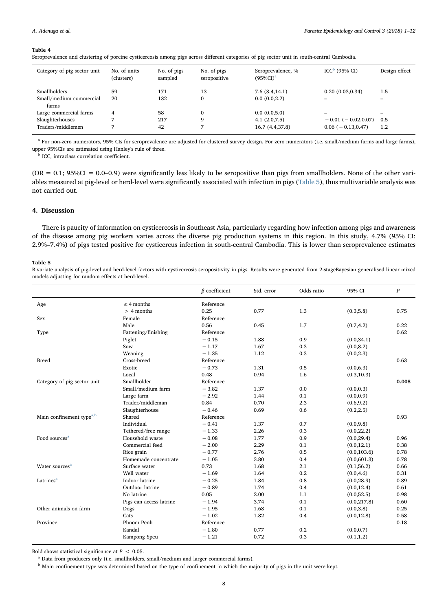### <span id="page-7-0"></span>Table 4

Seroprevalence and clustering of porcine cysticercosis among pigs across different categories of pig sector unit in south-central Cambodia.

| Category of pig sector unit      | No. of units<br>(clusters) | No. of pigs<br>sampled | No. of pigs<br>seropositive | Seroprevalence, %<br>$(95\%CI)^a$ | ICC <sup>b</sup> (95% CI) | Design effect |
|----------------------------------|----------------------------|------------------------|-----------------------------|-----------------------------------|---------------------------|---------------|
| Smallholders                     | 59                         | 171                    | 13                          | 7.6(3.4,14.1)                     | 0.20(0.03, 0.34)          | 1.5           |
| Small/medium commercial<br>farms | 20                         | 132                    |                             | 0.0(0.0, 2.2)                     |                           |               |
| Large commercial farms           | 4                          | 58                     |                             | 0.0(0.0,5.0)                      |                           |               |
| Slaughterhouses                  |                            | 217                    |                             | 4.1(2.0, 7.5)                     | $-0.01$ ( $-0.02,0.07$ )  | 0.5           |
| Traders/middlemen                |                            | 42                     |                             | 16.7 (4.4,37.8)                   | $0.06$ ( $-0.13,0.47$ )   | 1.2           |

<span id="page-7-2"></span><sup>a</sup> For non-zero numerators, 95% CIs for seroprevalence are adjusted for clustered survey design. For zero numerators (i.e. small/medium farms and large farms), upper 95%CIs are estimated using Hanley's rule of three.

<span id="page-7-3"></span>**b** ICC, intraclass correlation coefficient.

 $(OR = 0.1; 95\% CI = 0.0-0.9)$  were significantly less likely to be seropositive than pigs from smallholders. None of the other variables measured at pig-level or herd-level were significantly associated with infection in pigs ([Table 5\)](#page-7-1), thus multivariable analysis was not carried out.

# 4. Discussion

There is paucity of information on cysticercosis in Southeast Asia, particularly regarding how infection among pigs and awareness of the disease among pig workers varies across the diverse pig production systems in this region. In this study, 4.7% (95% CI: 2.9%–7.4%) of pigs tested positive for cysticercus infection in south-central Cambodia. This is lower than seroprevalence estimates

#### <span id="page-7-1"></span>Table 5

Bivariate analysis of pig-level and herd-level factors with cysticercosis seropositivity in pigs. Results were generated from 2-stageBayesian generalised linear mixed models adjusting for random effects at herd-level.

|                                      |                         | $\beta$ coefficient | Std. error | Odds ratio | 95% CI       | $\boldsymbol{P}$ |
|--------------------------------------|-------------------------|---------------------|------------|------------|--------------|------------------|
| Age                                  | $\leq$ 4 months         | Reference           |            |            |              |                  |
|                                      | $> 4$ months            | 0.25                | 0.77       | 1.3        | (0.3, 5.8)   | 0.75             |
| Sex                                  | Female                  | Reference           |            |            |              |                  |
|                                      | Male                    | 0.56                | 0.45       | 1.7        | (0.7, 4.2)   | 0.22             |
| Type                                 | Fattening/finishing     | Reference           |            |            |              | 0.62             |
|                                      | Piglet                  | $-0.15$             | 1.88       | 0.9        | (0.0, 34.1)  |                  |
|                                      | Sow                     | $-1.17$             | 1.67       | 0.3        | (0.0, 8.2)   |                  |
|                                      | Weaning                 | $-1.35$             | 1.12       | 0.3        | (0.0, 2.3)   |                  |
| <b>Breed</b>                         | Cross-breed             | Reference           |            |            |              | 0.63             |
|                                      | Exotic                  | $-0.73$             | 1.31       | 0.5        | (0.0, 6.3)   |                  |
|                                      | Local                   | 0.48                | 0.94       | 1.6        | (0.3, 10.3)  |                  |
| Category of pig sector unit          | Smallholder             | Reference           |            |            |              | 0.008            |
|                                      | Small/medium farm       | $-3.82$             | 1.37       | 0.0        | (0.0, 0.3)   |                  |
|                                      | Large farm              | $-2.92$             | 1.44       | 0.1        | (0.0, 0.9)   |                  |
|                                      | Trader/middleman        | 0.84                | 0.70       | 2.3        | (0.6, 9.2)   |                  |
|                                      | Slaughterhouse          | $-0.46$             | 0.69       | 0.6        | (0.2, 2.5)   |                  |
| Main confinement type <sup>a,b</sup> | Shared                  | Reference           |            |            |              | 0.93             |
|                                      | Individual              | $-0.41$             | 1.37       | 0.7        | (0.0, 9.8)   |                  |
|                                      | Tethered/free range     | $-1.33$             | 2.26       | 0.3        | (0.0, 22.2)  |                  |
| Food sources <sup>a</sup>            | Household waste         | $-0.08$             | 1.77       | 0.9        | (0.0, 29.4)  | 0.96             |
|                                      | Commercial feed         | $-2.00$             | 2.29       | 0.1        | (0.0, 12.1)  | 0.38             |
|                                      | Rice grain              | $-0.77$             | 2.76       | 0.5        | (0.0, 103.6) | 0.78             |
|                                      | Homemade concentrate    | $-1.05$             | 3.80       | 0.4        | (0.0, 601.3) | 0.78             |
| Water sources <sup>a</sup>           | Surface water           | 0.73                | 1.68       | 2.1        | (0.1, 56.2)  | 0.66             |
|                                      | Well water              | $-1.69$             | 1.64       | 0.2        | (0.0, 4.6)   | 0.31             |
| Latrines <sup>a</sup>                | Indoor latrine          | $-0.25$             | 1.84       | 0.8        | (0.0, 28.9)  | 0.89             |
|                                      | Outdoor latrine         | $-0.89$             | 1.74       | 0.4        | (0.0, 12.4)  | 0.61             |
|                                      | No latrine              | 0.05                | 2.00       | 1.1        | (0.0, 52.5)  | 0.98             |
|                                      | Pigs can access latrine | $-1.94$             | 3.74       | 0.1        | (0.0, 217.8) | 0.60             |
| Other animals on farm                | Dogs                    | $-1.95$             | 1.68       | 0.1        | (0.0, 3.8)   | 0.25             |
|                                      | Cats                    | $-1.02$             | 1.82       | 0.4        | (0.0, 12.8)  | 0.58             |
| Province                             | Phnom Penh              | Reference           |            |            |              | 0.18             |
|                                      | Kandal                  | $-1.80$             | 0.77       | 0.2        | (0.0, 0.7)   |                  |
|                                      | Kampong Speu            | $-1.21$             | 0.72       | 0.3        | (0.1, 1.2)   |                  |
|                                      |                         |                     |            |            |              |                  |

Bold shows statistical significance at  $P < 0.05$ .

<span id="page-7-4"></span><sup>a</sup> Data from producers only (i.e. smallholders, small/medium and larger commercial farms).

<sup>b</sup> Main confinement type was determined based on the type of confinement in which the majority of pigs in the unit were kept.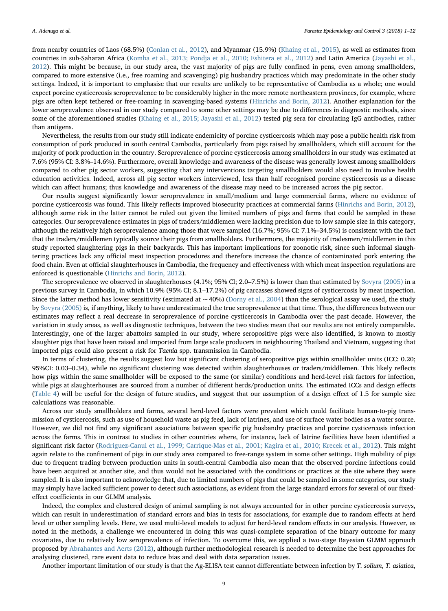from nearby countries of Laos (68.5%) [\(Conlan et al., 2012](#page-10-5)), and Myanmar (15.9%) ([Khaing et al., 2015](#page-10-24)), as well as estimates from countries in sub-Saharan Africa [\(Komba et al., 2013; Pondja et al., 2010; Eshitera et al., 2012\)](#page-10-25) and Latin America ([Jayashi et al.,](#page-10-26) [2012\)](#page-10-26). This might be because, in our study area, the vast majority of pigs are fully confined in pens, even among smallholders, compared to more extensive (i.e., free roaming and scavenging) pig husbandry practices which may predominate in the other study settings. Indeed, it is important to emphasise that our results are unlikely to be representative of Cambodia as a whole; one would expect porcine cysticercosis seroprevalence to be considerably higher in the more remote northeastern provinces, for example, where pigs are often kept tethered or free-roaming in scavenging-based systems ([Hinrichs and Borin, 2012\)](#page-10-13). Another explanation for the lower seroprevalence observed in our study compared to some other settings may be due to differences in diagnostic methods, since some of the aforementioned studies ([Khaing et al., 2015; Jayashi et al., 2012](#page-10-24)) tested pig sera for circulating IgG antibodies, rather than antigens.

Nevertheless, the results from our study still indicate endemicity of porcine cysticercosis which may pose a public health risk from consumption of pork produced in south central Cambodia, particularly from pigs raised by smallholders, which still account for the majority of pork production in the country. Seroprevalence of porcine cysticercosis among smallholders in our study was estimated at 7.6% (95% CI: 3.8%–14.6%). Furthermore, overall knowledge and awareness of the disease was generally lowest among smallholders compared to other pig sector workers, suggesting that any interventions targeting smallholders would also need to involve health education activities. Indeed, across all pig sector workers interviewed, less than half recognised porcine cysticercosis as a disease which can affect humans; thus knowledge and awareness of the disease may need to be increased across the pig sector.

Our results suggest significantly lower seroprevalence in small/medium and large commercial farms, where no evidence of porcine cysticercosis was found. This likely reflects improved biosecurity practices at commercial farms ([Hinrichs and Borin, 2012](#page-10-13)), although some risk in the latter cannot be ruled out given the limited numbers of pigs and farms that could be sampled in these categories. Our seroprevalence estimates in pigs of traders/middlemen were lacking precision due to low sample size in this category, although the relatively high seroprevalence among those that were sampled (16.7%; 95% CI: 7.1%–34.5%) is consistent with the fact that the traders/middlemen typically source their pigs from smallholders. Furthermore, the majority of tradesmen/middlemen in this study reported slaughtering pigs in their backyards. This has important implications for zoonotic risk, since such informal slaughtering practices lack any official meat inspection procedures and therefore increase the chance of contaminated pork entering the food chain. Even at official slaughterhouses in Cambodia, the frequency and effectiveness with which meat inspection regulations are enforced is questionable ([Hinrichs and Borin, 2012](#page-10-13)).

The seroprevalence we observed in slaughterhouses (4.1%; 95% CI; 2.0–7.5%) is lower than that estimated by [Sovyra \(2005\)](#page-11-4) in a previous survey in Cambodia, in which 10.9% (95% CI; 8.1–17.2%) of pig carcasses showed signs of cysticercosis by meat inspection. Since the latter method has lower sensitivity (estimated at  $\sim$  40%) ([Dorny et al., 2004\)](#page-10-11) than the serological assay we used, the study by [Sovyra \(2005\)](#page-11-4) is, if anything, likely to have underestimated the true seroprevalence at that time. Thus, the differences between our estimates may reflect a real decrease in seroprevalence of porcine cysticercosis in Cambodia over the past decade. However, the variation in study areas, as well as diagnostic techniques, between the two studies mean that our results are not entirely comparable. Interestingly, one of the larger abattoirs sampled in our study, where seropositive pigs were also identified, is known to mostly slaughter pigs that have been raised and imported from large scale producers in neighbouring Thailand and Vietnam, suggesting that imported pigs could also present a risk for Taenia spp. transmission in Cambodia.

In terms of clustering, the results suggest low but significant clustering of seropositive pigs within smallholder units (ICC: 0.20; 95%CI: 0.03–0.34), while no significant clustering was detected within slaughterhouses or traders/middlemen. This likely reflects how pigs within the same smallholder will be exposed to the same (or similar) conditions and herd-level risk factors for infection, while pigs at slaughterhouses are sourced from a number of different herds/production units. The estimated ICCs and design effects ([Table 4\)](#page-7-0) will be useful for the design of future studies, and suggest that our assumption of a design effect of 1.5 for sample size calculations was reasonable.

Across our study smallholders and farms, several herd-level factors were prevalent which could facilitate human-to-pig transmission of cysticercosis, such as use of household waste as pig feed, lack of latrines, and use of surface water bodies as a water source. However, we did not find any significant associations between specific pig husbandry practices and porcine cysticercosis infection across the farms. This in contrast to studies in other countries where, for instance, lack of latrine facilities have been identified a significant risk factor ([Rodriguez-Canul et al., 1999; Carrique-Mas et al., 2001; Kagira et al., 2010; Krecek et al., 2012](#page-10-27)). This might again relate to the confinement of pigs in our study area compared to free-range system in some other settings. High mobility of pigs due to frequent trading between production units in south-central Cambodia also mean that the observed porcine infections could have been acquired at another site, and thus would not be associated with the conditions or practices at the site where they were sampled. It is also important to acknowledge that, due to limited numbers of pigs that could be sampled in some categories, our study may simply have lacked sufficient power to detect such associations, as evident from the large standard errors for several of our fixedeffect coefficients in our GLMM analysis.

Indeed, the complex and clustered design of animal sampling is not always accounted for in other porcine cysticercosis surveys, which can result in underestimation of standard errors and bias in tests for associations, for example due to random effects at herd level or other sampling levels. Here, we used multi-level models to adjust for herd-level random effects in our analysis. However, as noted in the methods, a challenge we encountered in doing this was quasi-complete separation of the binary outcome for many covariates, due to relatively low seroprevalence of infection. To overcome this, we applied a two-stage Bayesian GLMM approach proposed by [Abrahantes and Aerts \(2012\),](#page-10-21) although further methodological research is needed to determine the best approaches for analysing clustered, rare event data to reduce bias and deal with data separation issues.

Another important limitation of our study is that the Ag-ELISA test cannot differentiate between infection by T. solium, T. asiatica,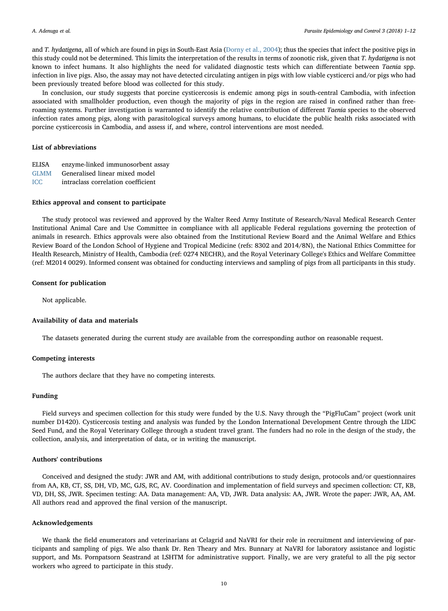and T. hydatigena, all of which are found in pigs in South-East Asia ([Dorny et al., 2004\)](#page-10-11); thus the species that infect the positive pigs in this study could not be determined. This limits the interpretation of the results in terms of zoonotic risk, given that T. hydatigena is not known to infect humans. It also highlights the need for validated diagnostic tests which can differentiate between Taenia spp. infection in live pigs. Also, the assay may not have detected circulating antigen in pigs with low viable cysticerci and/or pigs who had been previously treated before blood was collected for this study.

In conclusion, our study suggests that porcine cysticercosis is endemic among pigs in south-central Cambodia, with infection associated with smallholder production, even though the majority of pigs in the region are raised in confined rather than freeroaming systems. Further investigation is warranted to identify the relative contribution of different Taenia species to the observed infection rates among pigs, along with parasitological surveys among humans, to elucidate the public health risks associated with porcine cysticercosis in Cambodia, and assess if, and where, control interventions are most needed.

# List of abbreviations

- ELISA enzyme-linked immunosorbent assay
- [GLMM](#page-4-0) Generalised linear mixed model
- [ICC](#page-6-1) intraclass correlation coefficient

#### Ethics approval and consent to participate

The study protocol was reviewed and approved by the Walter Reed Army Institute of Research/Naval Medical Research Center Institutional Animal Care and Use Committee in compliance with all applicable Federal regulations governing the protection of animals in research. Ethics approvals were also obtained from the Institutional Review Board and the Animal Welfare and Ethics Review Board of the London School of Hygiene and Tropical Medicine (refs: 8302 and 2014/8N), the National Ethics Committee for Health Research, Ministry of Health, Cambodia (ref: 0274 NECHR), and the Royal Veterinary College's Ethics and Welfare Committee (ref: M2014 0029). Informed consent was obtained for conducting interviews and sampling of pigs from all participants in this study.

#### Consent for publication

Not applicable.

#### Availability of data and materials

The datasets generated during the current study are available from the corresponding author on reasonable request.

# Competing interests

The authors declare that they have no competing interests.

# Funding

Field surveys and specimen collection for this study were funded by the U.S. Navy through the "PigFluCam" project (work unit number D1420). Cysticercosis testing and analysis was funded by the London International Development Centre through the LIDC Seed Fund, and the Royal Veterinary College through a student travel grant. The funders had no role in the design of the study, the collection, analysis, and interpretation of data, or in writing the manuscript.

# Authors' contributions

Conceived and designed the study: JWR and AM, with additional contributions to study design, protocols and/or questionnaires from AA, KB, CT, SS, DH, VD, MC, GJS, RC, AV. Coordination and implementation of field surveys and specimen collection: CT, KB, VD, DH, SS, JWR. Specimen testing: AA. Data management: AA, VD, JWR. Data analysis: AA, JWR. Wrote the paper: JWR, AA, AM. All authors read and approved the final version of the manuscript.

#### Acknowledgements

We thank the field enumerators and veterinarians at Celagrid and NaVRI for their role in recruitment and interviewing of participants and sampling of pigs. We also thank Dr. Ren Theary and Mrs. Bunnary at NaVRI for laboratory assistance and logistic support, and Ms. Pornpatsorn Seastrand at LSHTM for administrative support. Finally, we are very grateful to all the pig sector workers who agreed to participate in this study.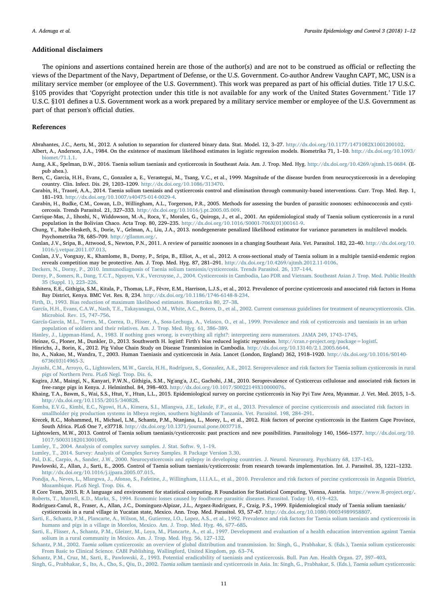## Additional disclaimers

The opinions and assertions contained herein are those of the author(s) and are not to be construed as official or reflecting the views of the Department of the Navy, Department of Defense, or the U.S. Government. Co-author Andrew Vaughn CAPT, MC, USN is a military service member (or employee of the U.S. Government). This work was prepared as part of his official duties. Title 17 U.S.C. §105 provides that 'Copyright protection under this title is not available for any work of the United States Government.' Title 17 U.S.C. §101 defines a U.S. Government work as a work prepared by a military service member or employee of the U.S. Government as part of that person's official duties.

#### References

- <span id="page-10-21"></span><span id="page-10-20"></span>Abrahantes, J.C., Aerts, M., 2012. A solution to separation for clustered binary data. Stat. Model. 12, 3–27. [http://dx.doi.org/10.1177/1471082X1001200102.](http://dx.doi.org/10.1177/1471082X1001200102) Albert, A., Anderson, J.A., 1984. On the existence of maximum likelihood estimates in logistic regression models. Biometrika 71, 1–10. [http://dx.doi.org/10.1093/](http://dx.doi.org/10.1093/biomet/71.1.1) [biomet/71.1.1.](http://dx.doi.org/10.1093/biomet/71.1.1)
- <span id="page-10-6"></span>Aung, A.K., Spelman, D.W., 2016. Taenia solium taeniasis and cysticercosis in Southeast Asia. Am. J. Trop. Med. Hyg. [http://dx.doi.org/10.4269/ajtmh.15-0684.](http://dx.doi.org/10.4269/ajtmh.15-0684) (E[pub ahea.\)](http://dx.doi.org/10.4269/ajtmh.15-0684).
- <span id="page-10-7"></span>Bern, C., Garcia, H.H., Evans, C., Gonzalez a, E., Verastegui, M., Tsang, V.C., et al., 1999. Magnitude of the disease burden from neurocysticercosis in a developing country. Clin. Infect. Dis. 29, 1203–1209. [http://dx.doi.org/10.1086/313470.](http://dx.doi.org/10.1086/313470)
- <span id="page-10-9"></span>Carabin, H., Traoré, A.A., 2014. Taenia solium taeniasis and cysticercosis control and elimination through community-based interventions. Curr. Trop. Med. Rep. 1, 181–193. [http://dx.doi.org/10.1007/s40475-014-0029-4.](http://dx.doi.org/10.1007/s40475-014-0029-4)
- Carabin, H., Budke, C.M., Cowan, L.D., Willingham, A.L., Torgerson, P.R., 2005. Methods for assessing the burden of parasitic zoonoses: echinococcosis and cysticercosis. Trends Parasitol. 21, 327–333. <http://dx.doi.org/10.1016/j.pt.2005.05.009>.
- Carrique-Mas, J., Iihoshi, N., Widdowson, M.-A., Roca, Y., Morales, G., Quiroga, J., et al., 2001. An epidemiological study of Taenia solium cysticercosis in a rural population in the Bolivian Chaco. Acta Trop. 80, 229–235. [http://dx.doi.org/10.1016/S0001-706X\(01\)00161-9.](http://dx.doi.org/10.1016/S0001-706X(01)00161-9)
- <span id="page-10-23"></span>Chung, Y., Rabe-Hesketh, S., Dorie, V., Gelman, A., Liu, J.A., 2013. nondegenerate penalized likelihood estimator for variance parameters in multilevel models. Psychometrika 78, 685–709. <http://gllamm.org/>.
- <span id="page-10-0"></span>Conlan, J.V., Sripa, B., Attwood, S., Newton, P.N., 2011. A review of parasitic zoonoses in a changing Southeast Asia. Vet. Parasitol. 182, 22–40. [http://dx.doi.org/10.](http://dx.doi.org/10.1016/j.vetpar.2011.07.013) [1016/j.vetpar.2011.07.013.](http://dx.doi.org/10.1016/j.vetpar.2011.07.013)
- <span id="page-10-5"></span>Conlan, J.V., Vongxay, K., Khamlome, B., Dorny, P., Sripa, B., Elliot, A., et al., 2012. A cross-sectional study of Taenia solium in a multiple taeniid-endemic region reveals competition may be protective. Am. J. Trop. Med. Hyg. 87, 281–291. [http://dx.doi.org/10.4269/ajtmh.2012.11-0106.](http://dx.doi.org/10.4269/ajtmh.2012.11-0106)
- <span id="page-10-15"></span>[Deckers, N., Dorny, P., 2010. Immunodiagnosis of Taenia solium taeniosis/cysticercosis. Trends Parasitol. 26, 137](http://refhub.elsevier.com/S2405-6731(17)30030-2/rf0065)–144.
- <span id="page-10-11"></span>[Dorny, P., Somers, R., Dang, T.C.T., Nguyen, V.K., Vercruysse, J., 2004. Cysticercosis in Cambodia, Lao PDR and Vietnam. Southeast Asian J. Trop. Med. Public Health](http://refhub.elsevier.com/S2405-6731(17)30030-2/rf0070) [35 \(Suppl. 1\), 223](http://refhub.elsevier.com/S2405-6731(17)30030-2/rf0070)–226.
- Eshitera, E.E., Githigia, S.M., Kitala, P., Thomas, L.F., Fèvre, E.M., Harrison, L.J.S., et al., 2012. Prevalence of porcine cysticercosis and associated risk factors in Homa Bay District, Kenya. BMC Vet. Res. 8, 234. <http://dx.doi.org/10.1186/1746-6148-8-234>.
- <span id="page-10-19"></span>[Firth, D., 1993. Bias reduction of maximum likelihood estimates. Biometrika 80, 27](http://refhub.elsevier.com/S2405-6731(17)30030-2/rf0080)–38.
- <span id="page-10-3"></span>[García, H.H., Evans, C.A.W., Nash, T.E., Takayanagui, O.M., White, A.C., Botero, D., et al., 2002. Current consensus guidelines for treatment of neurocysticercosis. Clin.](http://refhub.elsevier.com/S2405-6731(17)30030-2/rf0085) [Microbiol. Rev. 15, 747](http://refhub.elsevier.com/S2405-6731(17)30030-2/rf0085)–756.
- [García-García, M.L., Torres, M., Correa, D., Flisser, A., Sosa-Lechuga, A., Velasco, O., et al., 1999. Prevalence and risk of cysticercosis and taeniasis in an urban](http://refhub.elsevier.com/S2405-6731(17)30030-2/rf0090) [population of soldiers and their relatives. Am. J. Trop. Med. Hyg. 61, 386](http://refhub.elsevier.com/S2405-6731(17)30030-2/rf0090)–389.
- <span id="page-10-18"></span>[Hanley, J., Lippman-Hand, A., 1983. If nothing goes wrong, is everything all right?: interpreting zero numerators. JAMA 249, 1743](http://refhub.elsevier.com/S2405-6731(17)30030-2/rf0095)–1745.

<span id="page-10-22"></span>Heinze, G., Ploner, M., Dunkler, D., 2013. Southworth H. logistf: Firth's bias reduced logistic regression. <http://cran.r-project.org/package=logistf>.

<span id="page-10-13"></span>Hinrichs, J., Borin, K., 2012. Pig Value Chain Study on Disease Transmission in Cambodia. <http://dx.doi.org/10.13140/2.1.2005.6644>.

- Ito, A., Nakao, M., Wandra, T., 2003. Human Taeniasis and cysticercosis in Asia. Lancet (London, England) 362, 1918–1920. [http://dx.doi.org/10.1016/S0140-](http://dx.doi.org/10.1016/S0140-6736(03)14965-3) [6736\(03\)14965-3.](http://dx.doi.org/10.1016/S0140-6736(03)14965-3)
- <span id="page-10-26"></span>[Jayashi, C.M., Arroyo, G., Lightowlers, M.W., García, H.H., Rodríguez, S., Gonzalez, A.E., 2012. Seroprevalence and risk factors for Taenia solium cysticercosis in rural](http://refhub.elsevier.com/S2405-6731(17)30030-2/rf0115) [pigs of Northern Peru. PLoS Negl. Trop. Dis. 6](http://refhub.elsevier.com/S2405-6731(17)30030-2/rf0115).
- Kagira, J.M., Maingi, N., Kanyari, P.W.N., Githigia, S.M., Ng'ang'a, J.C., Gachohi, J.M., 2010. Seroprevalence of Cysticercus cellulosae and associated risk factors in free-range pigs in Kenya. J. Helminthol. 84, 398–403. [http://dx.doi.org/10.1017/S0022149X10000076.](http://dx.doi.org/10.1017/S0022149X10000076)
- <span id="page-10-24"></span>Khaing, T.A., Bawm, S., Wai, S.S., Htut, Y., Htun, L.L., 2015. Epidemiological survey on porcine cysticercosis in Nay Pyi Taw Area, Myanmar. J. Vet. Med. 2015, 1–5. [http://dx.doi.org/10.1155/2015/340828.](http://dx.doi.org/10.1155/2015/340828)
- <span id="page-10-25"></span>[Komba, E.V.G., Kimbi, E.C., Ngowi, H.A., Kimera, S.I., Mlangwa, J.E., Lekule, F.P., et al., 2013. Prevalence of porcine cysticercosis and associated risk factors in](http://refhub.elsevier.com/S2405-6731(17)30030-2/rf0130) [smallholder pig production systems in Mbeya region, southern highlands of Tanzania. Vet. Parasitol. 198, 284](http://refhub.elsevier.com/S2405-6731(17)30030-2/rf0130)–291.
- Krecek, R.C., Mohammed, H., Michael, L.M., Schantz, P.M., Ntanjana, L., Morey, L., et al., 2012. Risk factors of porcine cysticercosis in the Eastern Cape Province, South Africa. PLoS One 7, e37718. [http://dx.doi.org/10.1371/journal.pone.0037718.](http://dx.doi.org/10.1371/journal.pone.0037718)
- <span id="page-10-10"></span>Lightowlers, M.W., 2013. Control of Taenia solium taeniasis/cysticercosis: past practices and new possibilities. Parasitology 140, 1566–1577. [http://dx.doi.org/10.](http://dx.doi.org/10.1017/S0031182013001005) [1017/S0031182013001005](http://dx.doi.org/10.1017/S0031182013001005).
- <span id="page-10-17"></span>[Lumley, T., 2004. Analysis of complex survey samples. J. Stat. Softw. 9, 1](http://refhub.elsevier.com/S2405-6731(17)30030-2/rf0145)–19.
- [Lumley, T., 2014. Survey: Analysis of Complex Survey Samples. R Package Version 3.30.](http://refhub.elsevier.com/S2405-6731(17)30030-2/rf0150)
- <span id="page-10-4"></span>[Pal, D.K., Carpio, A., Sander, J.W., 2000. Neurocysticercosis and epilepsy in developing countries. J. Neurol. Neurosurg. Psychiatry 68, 137](http://refhub.elsevier.com/S2405-6731(17)30030-2/rf0155)–143.
- <span id="page-10-8"></span>Pawlowski, Z., Allan, J., Sarti, E., 2005. Control of Taenia solium taeniasis/cysticercosis: from research towards implementation. Int. J. Parasitol. 35, 1221–1232. <http://dx.doi.org/10.1016/j.ijpara.2005.07.015>.
- [Pondja, A., Neves, L., Mlangwa, J., Afonso, S., Fafetine, J., Willingham, I.I.I.A.L., et al., 2010. Prevalence and risk factors of porcine cysticercosis in Angonia District,](http://refhub.elsevier.com/S2405-6731(17)30030-2/rf0165) [Mozambique. PLoS Negl. Trop. Dis. 4.](http://refhub.elsevier.com/S2405-6731(17)30030-2/rf0165)
- <span id="page-10-16"></span>R Core Team, 2015. R: A language and environment for statistical computing. R Foundation for Statistical Computing, Vienna, Austria. <https://www.R-project.org/>. [Roberts, T., Murrell, K.D., Marks, S., 1994. Economic losses caused by foodborne parasitic diseases. Parasitol. Today 10, 419](http://refhub.elsevier.com/S2405-6731(17)30030-2/rf0170)–423.
- <span id="page-10-27"></span>Rodriguez-Canul, R., Fraser, A., Allan, J.C., Dominguez-Alpizar, J.L., Argaez-Rodriguez, F., Craig, P.S., 1999. Epidemiological study of Taenia solium taeniasis/
- cysticercosis in a rural village in Yucatan state, Mexico. Ann. Trop. Med. Parasitol. 93, 57–67. <http://dx.doi.org/10.1080/00034989958807>.
- <span id="page-10-2"></span>[Sarti, E., Schantz, P.M., Plancarte, A., Wilson, M., Gutierrez, I.O., Lopez, A.S., et al., 1992. Prevalence and risk factors for Taenia solium taeniasis and cysticercosis in](http://refhub.elsevier.com/S2405-6731(17)30030-2/rf0180) [humans and pigs in a village in Morelos, Mexico. Am. J. Trop. Med. Hyg. 46, 677](http://refhub.elsevier.com/S2405-6731(17)30030-2/rf0180)–685.
- [Sarti, E., Flisser, A., Schantz, P.M., Gleizer, M., Loya, M., Plancarte, A., et al., 1997. Development and evaluation of a health education intervention against Taenia](http://refhub.elsevier.com/S2405-6731(17)30030-2/rf0185) [solium in a rural community in Mexico. Am. J. Trop. Med. Hyg. 56, 127](http://refhub.elsevier.com/S2405-6731(17)30030-2/rf0185)–132.
- <span id="page-10-14"></span>Schantz, P.M., 2002. Taenia solium [cysticercosis: an overview of global distribution and transmission. In: Singh, G., Prabhakar, S. \(Eds.\), Taenia solium cysticercosis:](http://refhub.elsevier.com/S2405-6731(17)30030-2/rf0190) [From Basic to Clinical Science. CABI Publishing, Wallingford, United Kingdom, pp. 63](http://refhub.elsevier.com/S2405-6731(17)30030-2/rf0190)–74.
- <span id="page-10-1"></span>[Schantz, P.M., Cruz, M., Sarti, E., Pawlowski, Z., 1993. Potential eradicability of taeniasis and cysticercosis. Bull. Pan Am. Health Organ. 27, 397](http://refhub.elsevier.com/S2405-6731(17)30030-2/rf0195)–403.
- <span id="page-10-12"></span>Singh, G., Prabhakar, S., Ito, A., Cho, S., Qiu, D., 2002. Taenia solium taeniasis [and cysticercosis in Asia. In: Singh, G., Prabhakar, S. \(Eds.\),](http://refhub.elsevier.com/S2405-6731(17)30030-2/rf0040) Taenia solium cysticercosis: